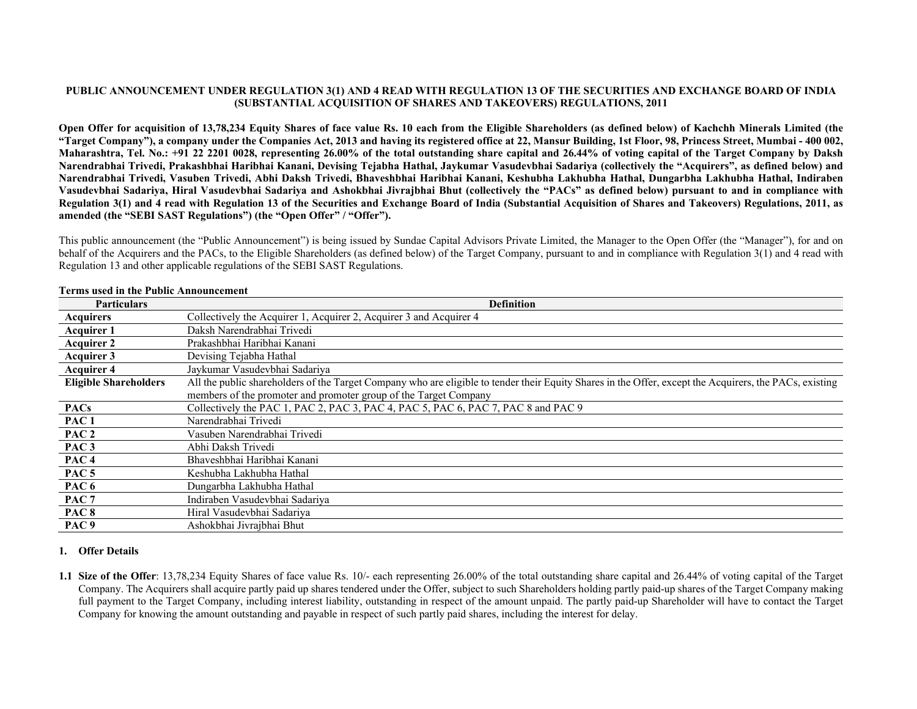### **PUBLIC ANNOUNCEMENT UNDER REGULATION 3(1) AND 4 READ WITH REGULATION 13 OF THE SECURITIES AND EXCHANGE BOARD OF INDIA (SUBSTANTIAL ACQUISITION OF SHARES AND TAKEOVERS) REGULATIONS, 2011**

**Open Offer for acquisition of 13,78,234 Equity Shares of face value Rs. 10 each from the Eligible Shareholders (as defined below) of Kachchh Minerals Limited (the "Target Company"), a company under the Companies Act, 2013 and having its registered office at 22, Mansur Building, 1st Floor, 98, Princess Street, Mumbai - 400 002, Maharashtra, Tel. No.: +91 22 2201 0028, representing 26.00% of the total outstanding share capital and 26.44% of voting capital of the Target Company by Daksh Narendrabhai Trivedi, Prakashbhai Haribhai Kanani, Devising Tejabha Hathal, Jaykumar Vasudevbhai Sadariya (collectively the "Acquirers", as defined below) and Narendrabhai Trivedi, Vasuben Trivedi, Abhi Daksh Trivedi, Bhaveshbhai Haribhai Kanani, Keshubha Lakhubha Hathal, Dungarbha Lakhubha Hathal, Indiraben Vasudevbhai Sadariya, Hiral Vasudevbhai Sadariya and Ashokbhai Jivrajbhai Bhut (collectively the "PACs" as defined below) pursuant to and in compliance with Regulation 3(1) and 4 read with Regulation 13 of the Securities and Exchange Board of India (Substantial Acquisition of Shares and Takeovers) Regulations, 2011, as amended (the "SEBI SAST Regulations") (the "Open Offer" / "Offer").** 

This public announcement (the "Public Announcement") is being issued by Sundae Capital Advisors Private Limited, the Manager to the Open Offer (the "Manager"), for and on behalf of the Acquirers and the PACs, to the Eligible Shareholders (as defined below) of the Target Company, pursuant to and in compliance with Regulation 3(1) and 4 read with Regulation 13 and other applicable regulations of the SEBI SAST Regulations.

| <b>Particulars</b>           | <b>Definition</b>                                                                                                                                       |
|------------------------------|---------------------------------------------------------------------------------------------------------------------------------------------------------|
| <b>Acquirers</b>             | Collectively the Acquirer 1, Acquirer 2, Acquirer 3 and Acquirer 4                                                                                      |
| <b>Acquirer 1</b>            | Daksh Narendrabhai Trivedi                                                                                                                              |
| <b>Acquirer 2</b>            | Prakashbhai Haribhai Kanani                                                                                                                             |
| Acquirer 3                   | Devising Tejabha Hathal                                                                                                                                 |
| <b>Acquirer 4</b>            | Jaykumar Vasudevbhai Sadariya                                                                                                                           |
| <b>Eligible Shareholders</b> | All the public shareholders of the Target Company who are eligible to tender their Equity Shares in the Offer, except the Acquirers, the PACs, existing |
|                              | members of the promoter and promoter group of the Target Company                                                                                        |
| <b>PACs</b>                  | Collectively the PAC 1, PAC 2, PAC 3, PAC 4, PAC 5, PAC 6, PAC 7, PAC 8 and PAC 9                                                                       |
| PAC <sub>1</sub>             | Narendrabhai Trivedi                                                                                                                                    |
| PAC <sub>2</sub>             | Vasuben Narendrabhai Trivedi                                                                                                                            |
| PAC <sub>3</sub>             | Abhi Daksh Trivedi                                                                                                                                      |
| PAC <sub>4</sub>             | Bhaveshbhai Haribhai Kanani                                                                                                                             |
| PAC <sub>5</sub>             | Keshubha Lakhubha Hathal                                                                                                                                |
| PAC 6                        | Dungarbha Lakhubha Hathal                                                                                                                               |
| PAC <sub>7</sub>             | Indiraben Vasudevbhai Sadariya                                                                                                                          |
| PAC <sub>8</sub>             | Hiral Vasudevbhai Sadariya                                                                                                                              |
| PAC <sub>9</sub>             | Ashokbhai Jivrajbhai Bhut                                                                                                                               |

#### **Terms used in the Public Announcement**

### **1. Offer Details**

**1.1 Size of the Offer**: 13,78,234 Equity Shares of face value Rs. 10/- each representing 26.00% of the total outstanding share capital and 26.44% of voting capital of the Target Company. The Acquirers shall acquire partly paid up shares tendered under the Offer, subject to such Shareholders holding partly paid-up shares of the Target Company making full payment to the Target Company, including interest liability, outstanding in respect of the amount unpaid. The partly paid-up Shareholder will have to contact the Target Company for knowing the amount outstanding and payable in respect of such partly paid shares, including the interest for delay.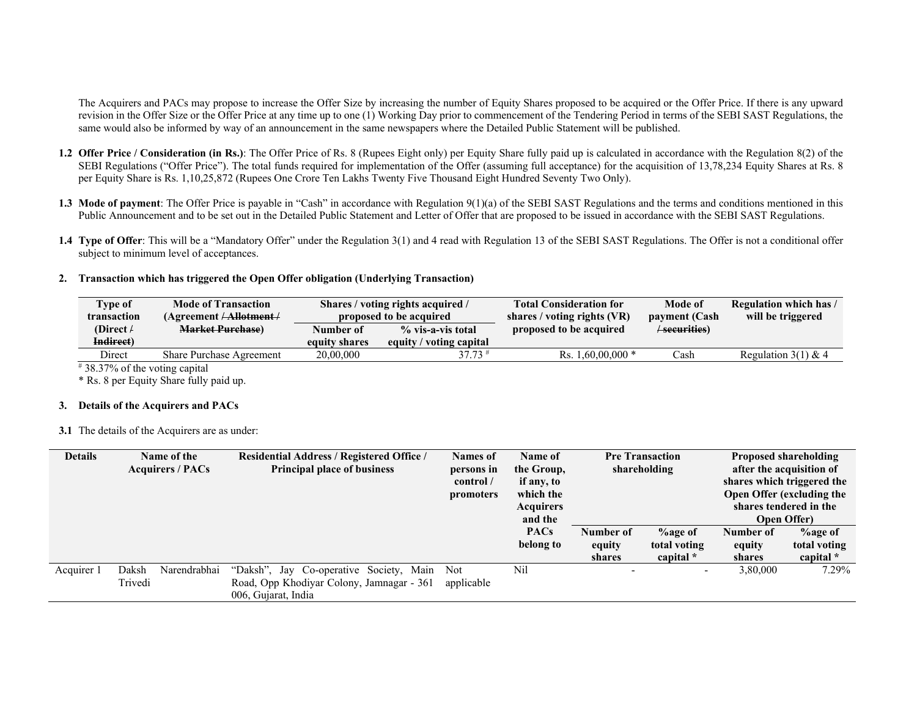The Acquirers and PACs may propose to increase the Offer Size by increasing the number of Equity Shares proposed to be acquired or the Offer Price. If there is any upward revision in the Offer Size or the Offer Price at any time up to one (1) Working Day prior to commencement of the Tendering Period in terms of the SEBI SAST Regulations, the same would also be informed by way of an announcement in the same newspapers where the Detailed Public Statement will be published.

- **1.2 Offer Price / Consideration (in Rs.)**: The Offer Price of Rs. 8 (Rupees Eight only) per Equity Share fully paid up is calculated in accordance with the Regulation 8(2) of the SEBI Regulations ("Offer Price"). The total funds required for implementation of the Offer (assuming full acceptance) for the acquisition of 13,78,234 Equity Shares at Rs. 8 per Equity Share is Rs. 1,10,25,872 (Rupees One Crore Ten Lakhs Twenty Five Thousand Eight Hundred Seventy Two Only).
- **1.3 Mode of payment**: The Offer Price is payable in "Cash" in accordance with Regulation 9(1)(a) of the SEBI SAST Regulations and the terms and conditions mentioned in this Public Announcement and to be set out in the Detailed Public Statement and Letter of Offer that are proposed to be issued in accordance with the SEBI SAST Regulations.
- **1.4 Type of Offer**: This will be a "Mandatory Offer" under the Regulation 3(1) and 4 read with Regulation 13 of the SEBI SAST Regulations. The Offer is not a conditional offer subject to minimum level of acceptances.

## **2. Transaction which has triggered the Open Offer obligation (Underlying Transaction)**

| <b>Type of</b><br>transaction     | <b>Mode of Transaction</b><br>(Agreenent / <b>Albert</b> ) |               | Shares / voting rights acquired /<br>proposed to be acquired | <b>Total Consideration for</b><br>shares / voting rights $(VR)$ | Mode of<br>payment (Cash | Regulation which has /<br>will be triggered |
|-----------------------------------|------------------------------------------------------------|---------------|--------------------------------------------------------------|-----------------------------------------------------------------|--------------------------|---------------------------------------------|
| (Direct $\ell$                    | <b>Market Purchase</b> )                                   | Number of     | % vis-a-vis total                                            | proposed to be acquired                                         | /securities)             |                                             |
| Indirect)                         |                                                            | equity shares | equity / voting capital                                      |                                                                 |                          |                                             |
| Direct                            | <b>Share Purchase Agreement</b>                            | 20,00,000     | $37.73$ <sup>#</sup>                                         | Rs. $1.60,00,000$ *                                             | Cash                     | Regulation $3(1)$ & 4                       |
| $\#$ 38.37% of the voting capital |                                                            |               |                                                              |                                                                 |                          |                                             |

\* Rs. 8 per Equity Share fully paid up.

### **3. Details of the Acquirers and PACs**

**3.1** The details of the Acquirers are as under:

| <b>Details</b> | Name of the<br><b>Acquirers / PACs</b> | <b>Residential Address / Registered Office /</b><br><b>Principal place of business</b>                      | <b>Names of</b><br>persons in<br>control / | <b>Name of</b><br>the Group,<br>if any, to |                               | <b>Pre Transaction</b><br>shareholding      |                               | <b>Proposed shareholding</b><br>after the acquisition of<br>shares which triggered the |
|----------------|----------------------------------------|-------------------------------------------------------------------------------------------------------------|--------------------------------------------|--------------------------------------------|-------------------------------|---------------------------------------------|-------------------------------|----------------------------------------------------------------------------------------|
|                |                                        |                                                                                                             | promoters                                  | which the<br><b>Acquirers</b><br>and the   |                               |                                             |                               | Open Offer (excluding the<br>shares tendered in the<br><b>Open Offer</b> )             |
|                |                                        |                                                                                                             |                                            | <b>PACs</b><br>belong to                   | Number of<br>equity<br>shares | <b>%age of</b><br>total voting<br>capital * | Number of<br>equity<br>shares | <b>%age of</b><br>total voting<br>capital *                                            |
| Acquirer 1     | Narendrabhai<br>Daksh<br>Trivedi       | "Daksh", Jay Co-operative Society, Main<br>Road, Opp Khodiyar Colony, Jamnagar - 361<br>006, Gujarat, India | Not<br>applicable                          | Nil                                        |                               |                                             | 3,80,000                      | 7.29%                                                                                  |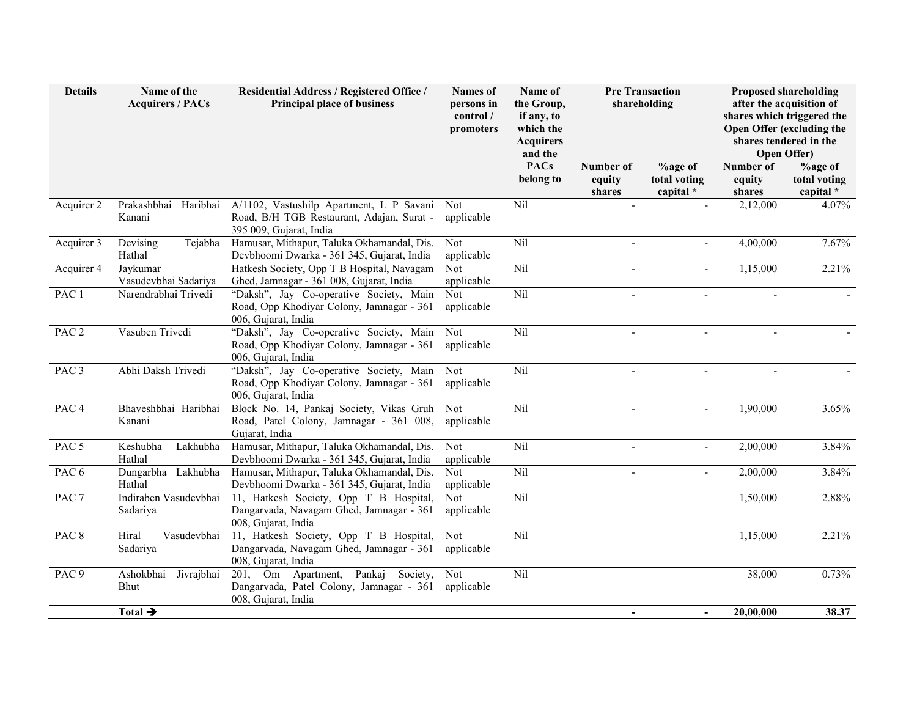| <b>Details</b>   | Name of the<br><b>Acquirers / PACs</b>                                                                                                         | Residential Address / Registered Office /<br><b>Principal place of business</b>                                  | <b>Names</b> of<br>persons in<br>control /<br>promoters | Name of<br>the Group,<br>if any, to<br>which the<br><b>Acquirers</b><br>and the | <b>Pre Transaction</b><br>shareholding |                                      | <b>Proposed shareholding</b><br>after the acquisition of<br>shares which triggered the<br>Open Offer (excluding the<br>shares tendered in the<br><b>Open Offer)</b> |                                             |
|------------------|------------------------------------------------------------------------------------------------------------------------------------------------|------------------------------------------------------------------------------------------------------------------|---------------------------------------------------------|---------------------------------------------------------------------------------|----------------------------------------|--------------------------------------|---------------------------------------------------------------------------------------------------------------------------------------------------------------------|---------------------------------------------|
|                  |                                                                                                                                                |                                                                                                                  |                                                         | <b>PACs</b><br>belong to                                                        | Number of<br>equity<br>shares          | %age of<br>total voting<br>capital * | Number of<br>equity<br>shares                                                                                                                                       | <b>%age of</b><br>total voting<br>capital * |
| Acquirer 2       | Prakashbhai<br>Haribhai<br>Kanani                                                                                                              | A/1102, Vastushilp Apartment, L P Savani<br>Road, B/H TGB Restaurant, Adajan, Surat -<br>395 009, Gujarat, India | Not<br>applicable                                       | Nil                                                                             |                                        |                                      | 2,12,000                                                                                                                                                            | 4.07%                                       |
| Acquirer 3       | Devising<br>Tejabha<br>Hathal                                                                                                                  | Hamusar, Mithapur, Taluka Okhamandal, Dis.<br>Devbhoomi Dwarka - 361 345, Gujarat, India                         | Not<br>applicable                                       | Nil                                                                             | $\mathbf{r}$                           | $\overline{a}$                       | 4,00,000                                                                                                                                                            | 7.67%                                       |
| Acquirer 4       | Jaykumar<br>Vasudevbhai Sadariya                                                                                                               | Hatkesh Society, Opp T B Hospital, Navagam<br>Ghed, Jamnagar - 361 008, Gujarat, India                           | Not<br>applicable                                       | Nil                                                                             | $\sim$                                 |                                      | 1,15,000                                                                                                                                                            | 2.21%                                       |
| PAC <sub>1</sub> | Narendrabhai Trivedi                                                                                                                           | "Daksh", Jay Co-operative Society, Main<br>Road, Opp Khodiyar Colony, Jamnagar - 361<br>006, Gujarat, India      | Not<br>applicable                                       | Nil                                                                             | $\overline{a}$                         | $\overline{a}$                       | $\overline{a}$                                                                                                                                                      |                                             |
| PAC <sub>2</sub> | Vasuben Trivedi                                                                                                                                | "Daksh", Jay Co-operative Society, Main<br>Road, Opp Khodiyar Colony, Jamnagar - 361<br>006, Gujarat, India      | Not<br>applicable                                       | Nil                                                                             |                                        |                                      |                                                                                                                                                                     |                                             |
| PAC <sub>3</sub> | Abhi Daksh Trivedi                                                                                                                             | "Daksh", Jay Co-operative Society, Main<br>Road, Opp Khodiyar Colony, Jamnagar - 361<br>006, Gujarat, India      | Not<br>applicable                                       | Nil                                                                             | $\overline{\phantom{a}}$               | $\blacksquare$                       | $\sim$                                                                                                                                                              |                                             |
| PAC <sub>4</sub> | Bhaveshbhai Haribhai<br>Block No. 14, Pankaj Society, Vikas Gruh<br>Road, Patel Colony, Jamnagar - 361 008,<br>Kanani<br>Gujarat, India        |                                                                                                                  | Not<br>applicable                                       | Nil                                                                             | $\overline{a}$                         |                                      | 1,90,000                                                                                                                                                            | 3.65%                                       |
| PAC <sub>5</sub> | Lakhubha<br>Keshubha<br>Hathal                                                                                                                 | Hamusar, Mithapur, Taluka Okhamandal, Dis.<br>Devbhoomi Dwarka - 361 345, Gujarat, India                         | <b>Not</b><br>applicable                                | Nil                                                                             |                                        |                                      | 2,00,000                                                                                                                                                            | 3.84%                                       |
| PAC <sub>6</sub> | Dungarbha Lakhubha<br>Hathal                                                                                                                   | Hamusar, Mithapur, Taluka Okhamandal, Dis.<br>Devbhoomi Dwarka - 361 345, Gujarat, India                         | Not<br>applicable                                       | Nil                                                                             | $\sim$                                 | $\overline{a}$                       | 2,00,000                                                                                                                                                            | 3.84%                                       |
| PAC <sub>7</sub> | Indiraben Vasudevbhai<br>11, Hatkesh Society, Opp T B Hospital,<br>Dangarvada, Navagam Ghed, Jamnagar - 361<br>Sadariya<br>008, Gujarat, India |                                                                                                                  | Not<br>applicable                                       | Nil                                                                             |                                        |                                      | 1,50,000                                                                                                                                                            | 2.88%                                       |
| PAC <sub>8</sub> | Hiral<br>Vasudevbhai<br>11, Hatkesh Society, Opp T B Hospital,<br>Sadariya<br>Dangarvada, Navagam Ghed, Jamnagar - 361<br>008, Gujarat, India  |                                                                                                                  | Not<br>applicable                                       | Nil                                                                             |                                        |                                      | 1,15,000                                                                                                                                                            | 2.21%                                       |
| PAC <sub>9</sub> | Ashokbhai<br>Jivrajbhai<br>Bhut                                                                                                                | 201, Om Apartment,<br>Pankaj Society,<br>Dangarvada, Patel Colony, Jamnagar - 361<br>008, Gujarat, India         | Not<br>applicable                                       | Nil                                                                             |                                        |                                      | 38,000                                                                                                                                                              | 0.73%                                       |
|                  | Total $\rightarrow$                                                                                                                            |                                                                                                                  |                                                         |                                                                                 | $\blacksquare$                         | $\blacksquare$                       | 20,00,000                                                                                                                                                           | 38.37                                       |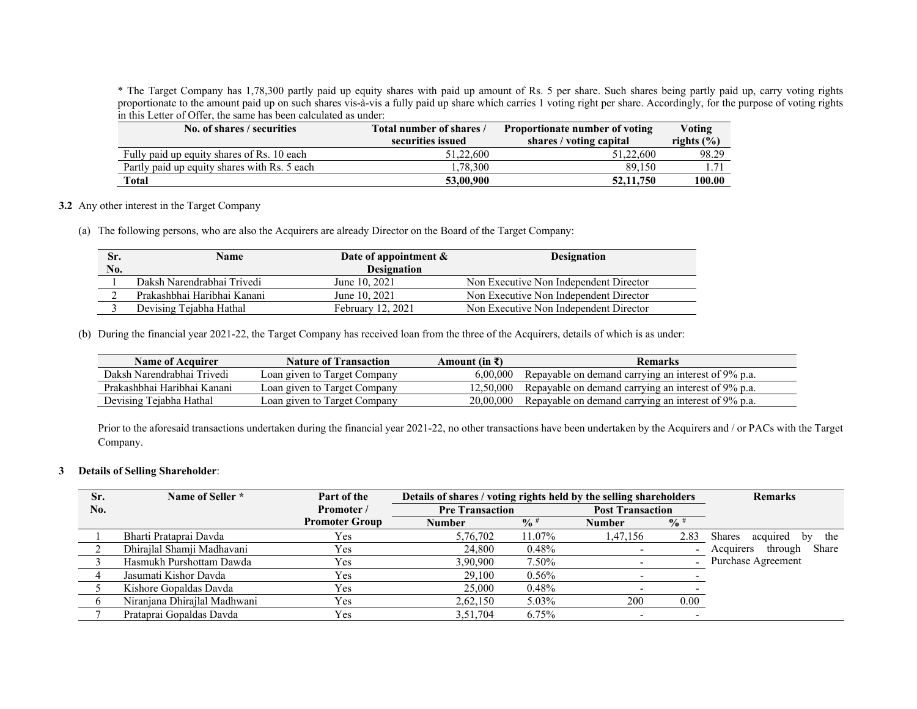\* The Target Company has 1,78,300 partly paid up equity shares with paid up amount of Rs. 5 per share. Such shares being partly paid up, carry voting rights proportionate to the amount paid up on such shares vis-à-vis a fully paid up share which carries 1 voting right per share. Accordingly, for the purpose of voting rights in this Letter of Offer, the same has been calculated as under:

| No. of shares / securities                   | Total number of shares / | Proportionate number of voting | Voting         |
|----------------------------------------------|--------------------------|--------------------------------|----------------|
|                                              | securities issued        | shares / voting capital        | rights $(\% )$ |
| Fully paid up equity shares of Rs. 10 each   | 51,22,600                | 51,22,600                      | 98.29          |
| Partly paid up equity shares with Rs. 5 each | 1.78.300                 | 89,150                         | 1.71           |
| Total                                        | 53,00,900                | 52, 11, 750                    | 100.00         |

**3.2** Any other interest in the Target Company

(a) The following persons, who are also the Acquirers are already Director on the Board of the Target Company:

| Sr. | Name                        | Date of appointment $\&$ |                                        |
|-----|-----------------------------|--------------------------|----------------------------------------|
| No. |                             | <b>Designation</b>       |                                        |
|     | Daksh Narendrabhai Trivedi  | June 10, 2021            | Non Executive Non Independent Director |
|     | Prakashbhai Haribhai Kanani | June 10, 2021            | Non Executive Non Independent Director |
|     | Devising Tejabha Hathal     | February 12, 2021        | Non Executive Non Independent Director |

(b) During the financial year 2021-22, the Target Company has received loan from the three of the Acquirers, details of which is as under:

| <b>Name of Acquirer</b>     | <b>Nature of Transaction</b> | Amount (in $\bar{x}$ ) | <b>Remarks</b>                                      |
|-----------------------------|------------------------------|------------------------|-----------------------------------------------------|
| Daksh Narendrabhai Trivedi  | Loan given to Target Company | 6.00.000               | Repayable on demand carrying an interest of 9% p.a. |
| Prakashbhai Haribhai Kanani | Loan given to Target Company | 12.50,000              | Repayable on demand carrying an interest of 9% p.a. |
| Devising Tejabha Hathal     | Loan given to Target Company | 20,00,000              | Repayable on demand carrying an interest of 9% p.a. |

Prior to the aforesaid transactions undertaken during the financial year 2021-22, no other transactions have been undertaken by the Acquirers and / or PACs with the Target Company.

#### **3 Details of Selling Shareholder**:

| Sr. | Name of Seller *             | Part of the           | Details of shares / voting rights held by the selling shareholders |                                                   |               | <b>Remarks</b>           |                                 |
|-----|------------------------------|-----------------------|--------------------------------------------------------------------|---------------------------------------------------|---------------|--------------------------|---------------------------------|
| No. |                              | Promoter /            |                                                                    | <b>Post Transaction</b><br><b>Pre Transaction</b> |               |                          |                                 |
|     |                              | <b>Promoter Group</b> | <b>Number</b>                                                      | $\frac{6}{9}$                                     | <b>Number</b> | $\frac{0}{0}$            |                                 |
|     | Bharti Prataprai Davda       | Yes.                  | 5,76,702                                                           | 11.07%                                            | 1,47,156      | 2.83                     | Shares<br>the<br>acquired<br>bv |
|     | Dhirajlal Shamji Madhavani   | Yes                   | 24,800                                                             | 0.48%                                             |               | $\overline{\phantom{a}}$ | Share<br>Acquirers<br>through   |
|     | Hasmukh Purshottam Dawda     | Yes                   | 3,90,900                                                           | 7.50%                                             |               |                          | Purchase Agreement              |
|     | Jasumati Kishor Davda        | Yes                   | 29,100                                                             | 0.56%                                             |               |                          |                                 |
|     | Kishore Gopaldas Davda       | Yes                   | 25,000                                                             | 0.48%                                             |               |                          |                                 |
|     | Niranjana Dhirajlal Madhwani | <b>Yes</b>            | 2,62,150                                                           | 5.03%                                             | 200           | 0.00                     |                                 |
|     | Prataprai Gopaldas Davda     | Yes                   | 3,51,704                                                           | 6.75%                                             |               |                          |                                 |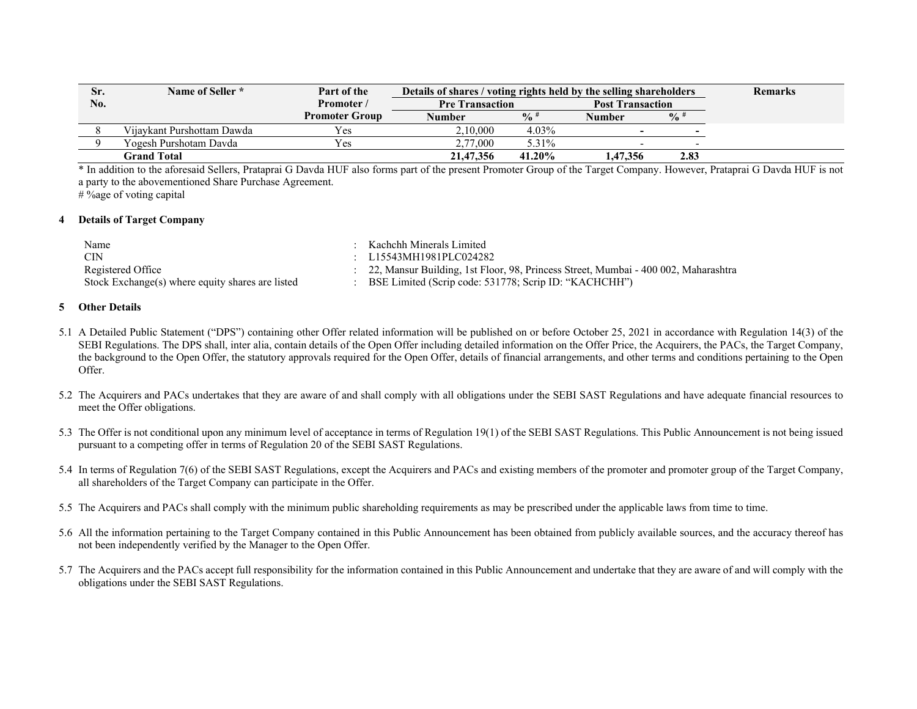| Sr. | Name of Seller *             | Part of the           |                        | Details of shares / voting rights held by the selling shareholders |                         |               | <b>Remarks</b> |
|-----|------------------------------|-----------------------|------------------------|--------------------------------------------------------------------|-------------------------|---------------|----------------|
| No. |                              | Promoter /            | <b>Pre Transaction</b> |                                                                    | <b>Post Transaction</b> |               |                |
|     |                              | <b>Promoter Group</b> | Number                 | $\frac{0}{6}$ #                                                    | Number                  | $\frac{0}{0}$ |                |
|     | Viiavkant Purshottam Dawda - | Yes                   | 2.10.000               | 4.03%                                                              |                         | -             |                |
|     | Yogesh Purshotam Davda       | Yes                   | 2,77,000               | 5.31%                                                              |                         | -             |                |
|     | Grand Total                  |                       | 21,47,356              | 41.20%                                                             | 1,47,356                | 2.83          |                |

\* In addition to the aforesaid Sellers, Prataprai G Davda HUF also forms part of the present Promoter Group of the Target Company. However, Prataprai G Davda HUF is not a party to the abovementioned Share Purchase Agreement.

# %age of voting capital

#### **4Details of Target Company**

| Name                                             | Kachchh Minerals Limited                                                             |
|--------------------------------------------------|--------------------------------------------------------------------------------------|
| - CIN                                            | : $L15543MH1981PLCO24282$                                                            |
| Registered Office                                | : 22, Mansur Building, 1st Floor, 98, Princess Street, Mumbai - 400 002, Maharashtra |
| Stock Exchange(s) where equity shares are listed | BSE Limited (Scrip code: 531778; Scrip ID: "KACHCHH")                                |

#### **5Other Details**

- 5.1 A Detailed Public Statement ("DPS") containing other Offer related information will be published on or before October 25, 2021 in accordance with Regulation 14(3) of the SEBI Regulations. The DPS shall, inter alia, contain details of the Open Offer including detailed information on the Offer Price, the Acquirers, the PACs, the Target Company, the background to the Open Offer, the statutory approvals required for the Open Offer, details of financial arrangements, and other terms and conditions pertaining to the Open Offer.
- 5.2 The Acquirers and PACs undertakes that they are aware of and shall comply with all obligations under the SEBI SAST Regulations and have adequate financial resources to meet the Offer obligations.
- 5.3 The Offer is not conditional upon any minimum level of acceptance in terms of Regulation 19(1) of the SEBI SAST Regulations. This Public Announcement is not being issued pursuant to a competing offer in terms of Regulation 20 of the SEBI SAST Regulations.
- 5.4 In terms of Regulation 7(6) of the SEBI SAST Regulations, except the Acquirers and PACs and existing members of the promoter and promoter group of the Target Company, all shareholders of the Target Company can participate in the Offer.
- 5.5 The Acquirers and PACs shall comply with the minimum public shareholding requirements as may be prescribed under the applicable laws from time to time.
- 5.6 All the information pertaining to the Target Company contained in this Public Announcement has been obtained from publicly available sources, and the accuracy thereof has not been independently verified by the Manager to the Open Offer.
- 5.7 The Acquirers and the PACs accept full responsibility for the information contained in this Public Announcement and undertake that they are aware of and will comply with the obligations under the SEBI SAST Regulations.